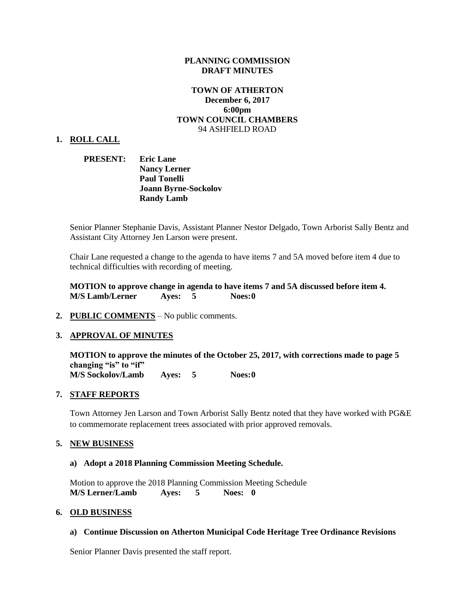### **PLANNING COMMISSION DRAFT MINUTES**

## **TOWN OF ATHERTON December 6, 2017 6:00pm TOWN COUNCIL CHAMBERS** 94 ASHFIELD ROAD

#### **1. ROLL CALL**

## **PRESENT: Eric Lane Nancy Lerner Paul Tonelli Joann Byrne-Sockolov Randy Lamb**

Senior Planner Stephanie Davis, Assistant Planner Nestor Delgado, Town Arborist Sally Bentz and Assistant City Attorney Jen Larson were present.

Chair Lane requested a change to the agenda to have items 7 and 5A moved before item 4 due to technical difficulties with recording of meeting.

**MOTION to approve change in agenda to have items 7 and 5A discussed before item 4. M/S Lamb/Lerner Ayes: 5 Noes:0**

**2. PUBLIC COMMENTS** – No public comments.

### **3. APPROVAL OF MINUTES**

**MOTION to approve the minutes of the October 25, 2017, with corrections made to page 5 changing "is" to "if" M/S Sockolov/Lamb Ayes: 5 Noes:0**

### **7. STAFF REPORTS**

Town Attorney Jen Larson and Town Arborist Sally Bentz noted that they have worked with PG&E to commemorate replacement trees associated with prior approved removals.

### **5. NEW BUSINESS**

#### **a) Adopt a 2018 Planning Commission Meeting Schedule.**

Motion to approve the 2018 Planning Commission Meeting Schedule **M/S Lerner/Lamb Ayes: 5 Noes: 0**

### **6. OLD BUSINESS**

#### **a) Continue Discussion on Atherton Municipal Code Heritage Tree Ordinance Revisions**

Senior Planner Davis presented the staff report.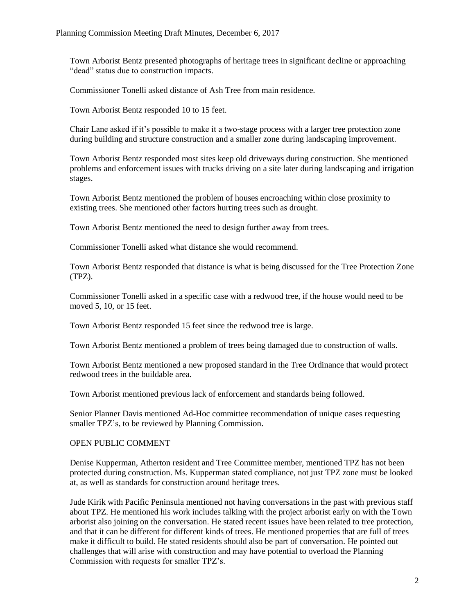Town Arborist Bentz presented photographs of heritage trees in significant decline or approaching "dead" status due to construction impacts.

Commissioner Tonelli asked distance of Ash Tree from main residence.

Town Arborist Bentz responded 10 to 15 feet.

Chair Lane asked if it's possible to make it a two-stage process with a larger tree protection zone during building and structure construction and a smaller zone during landscaping improvement.

Town Arborist Bentz responded most sites keep old driveways during construction. She mentioned problems and enforcement issues with trucks driving on a site later during landscaping and irrigation stages.

Town Arborist Bentz mentioned the problem of houses encroaching within close proximity to existing trees. She mentioned other factors hurting trees such as drought.

Town Arborist Bentz mentioned the need to design further away from trees.

Commissioner Tonelli asked what distance she would recommend.

Town Arborist Bentz responded that distance is what is being discussed for the Tree Protection Zone (TPZ).

Commissioner Tonelli asked in a specific case with a redwood tree, if the house would need to be moved 5, 10, or 15 feet.

Town Arborist Bentz responded 15 feet since the redwood tree is large.

Town Arborist Bentz mentioned a problem of trees being damaged due to construction of walls.

Town Arborist Bentz mentioned a new proposed standard in the Tree Ordinance that would protect redwood trees in the buildable area.

Town Arborist mentioned previous lack of enforcement and standards being followed.

Senior Planner Davis mentioned Ad-Hoc committee recommendation of unique cases requesting smaller TPZ's, to be reviewed by Planning Commission.

## OPEN PUBLIC COMMENT

Denise Kupperman, Atherton resident and Tree Committee member, mentioned TPZ has not been protected during construction. Ms. Kupperman stated compliance, not just TPZ zone must be looked at, as well as standards for construction around heritage trees.

Jude Kirik with Pacific Peninsula mentioned not having conversations in the past with previous staff about TPZ. He mentioned his work includes talking with the project arborist early on with the Town arborist also joining on the conversation. He stated recent issues have been related to tree protection, and that it can be different for different kinds of trees. He mentioned properties that are full of trees make it difficult to build. He stated residents should also be part of conversation. He pointed out challenges that will arise with construction and may have potential to overload the Planning Commission with requests for smaller TPZ's.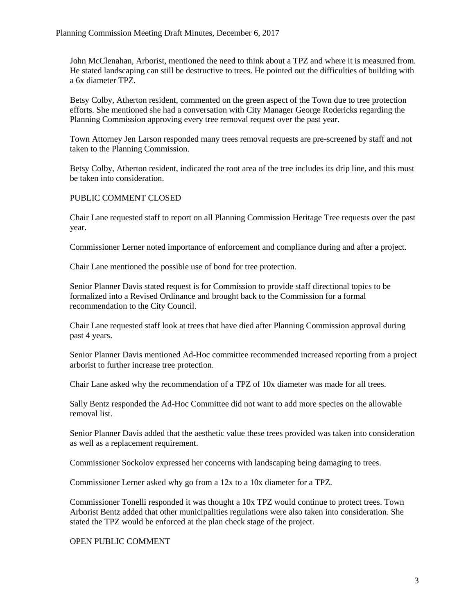John McClenahan, Arborist, mentioned the need to think about a TPZ and where it is measured from. He stated landscaping can still be destructive to trees. He pointed out the difficulties of building with a 6x diameter TPZ.

Betsy Colby, Atherton resident, commented on the green aspect of the Town due to tree protection efforts. She mentioned she had a conversation with City Manager George Rodericks regarding the Planning Commission approving every tree removal request over the past year.

Town Attorney Jen Larson responded many trees removal requests are pre-screened by staff and not taken to the Planning Commission.

Betsy Colby, Atherton resident, indicated the root area of the tree includes its drip line, and this must be taken into consideration.

## PUBLIC COMMENT CLOSED

Chair Lane requested staff to report on all Planning Commission Heritage Tree requests over the past year.

Commissioner Lerner noted importance of enforcement and compliance during and after a project.

Chair Lane mentioned the possible use of bond for tree protection.

Senior Planner Davis stated request is for Commission to provide staff directional topics to be formalized into a Revised Ordinance and brought back to the Commission for a formal recommendation to the City Council.

Chair Lane requested staff look at trees that have died after Planning Commission approval during past 4 years.

Senior Planner Davis mentioned Ad-Hoc committee recommended increased reporting from a project arborist to further increase tree protection.

Chair Lane asked why the recommendation of a TPZ of 10x diameter was made for all trees.

Sally Bentz responded the Ad-Hoc Committee did not want to add more species on the allowable removal list.

Senior Planner Davis added that the aesthetic value these trees provided was taken into consideration as well as a replacement requirement.

Commissioner Sockolov expressed her concerns with landscaping being damaging to trees.

Commissioner Lerner asked why go from a 12x to a 10x diameter for a TPZ.

Commissioner Tonelli responded it was thought a 10x TPZ would continue to protect trees. Town Arborist Bentz added that other municipalities regulations were also taken into consideration. She stated the TPZ would be enforced at the plan check stage of the project.

OPEN PUBLIC COMMENT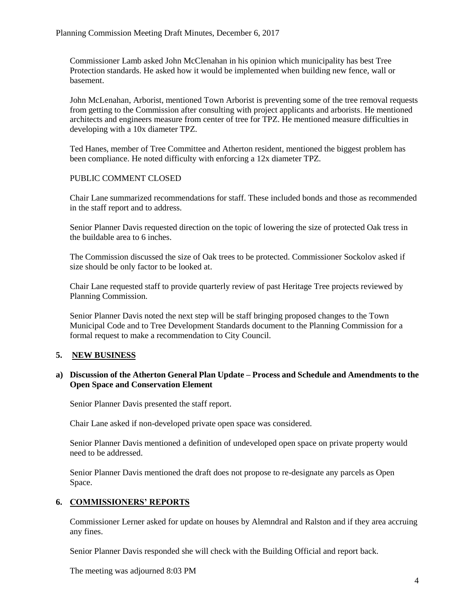Commissioner Lamb asked John McClenahan in his opinion which municipality has best Tree Protection standards. He asked how it would be implemented when building new fence, wall or basement.

John McLenahan, Arborist, mentioned Town Arborist is preventing some of the tree removal requests from getting to the Commission after consulting with project applicants and arborists. He mentioned architects and engineers measure from center of tree for TPZ. He mentioned measure difficulties in developing with a 10x diameter TPZ.

Ted Hanes, member of Tree Committee and Atherton resident, mentioned the biggest problem has been compliance. He noted difficulty with enforcing a 12x diameter TPZ.

## PUBLIC COMMENT CLOSED

Chair Lane summarized recommendations for staff. These included bonds and those as recommended in the staff report and to address.

Senior Planner Davis requested direction on the topic of lowering the size of protected Oak tress in the buildable area to 6 inches.

The Commission discussed the size of Oak trees to be protected. Commissioner Sockolov asked if size should be only factor to be looked at.

Chair Lane requested staff to provide quarterly review of past Heritage Tree projects reviewed by Planning Commission.

Senior Planner Davis noted the next step will be staff bringing proposed changes to the Town Municipal Code and to Tree Development Standards document to the Planning Commission for a formal request to make a recommendation to City Council.

## **5. NEW BUSINESS**

## **a) Discussion of the Atherton General Plan Update – Process and Schedule and Amendments to the Open Space and Conservation Element**

Senior Planner Davis presented the staff report.

Chair Lane asked if non-developed private open space was considered.

Senior Planner Davis mentioned a definition of undeveloped open space on private property would need to be addressed.

Senior Planner Davis mentioned the draft does not propose to re-designate any parcels as Open Space.

# **6. COMMISSIONERS' REPORTS**

Commissioner Lerner asked for update on houses by Alemndral and Ralston and if they area accruing any fines.

Senior Planner Davis responded she will check with the Building Official and report back.

The meeting was adjourned 8:03 PM